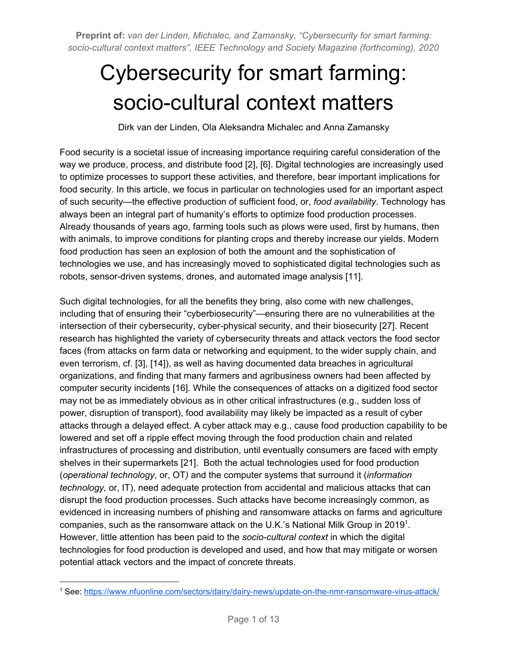# Cybersecurity for smart farming: socio-cultural context matters

Dirk van der Linden, Ola Aleksandra Michalec and Anna Zamansky

Food security is a societal issue of increasing importance requiring careful consideration of the way we produce, process, and distribute food [2], [6]. Digital technologies are increasingly used to optimize processes to support these activities, and therefore, bear important implications for food security. In this article, we focus in particular on technologies used for an important aspect of such security—the effective production of sufficient food, or, *food availability*. Technology has always been an integral part of humanity's efforts to optimize food production processes. Already thousands of years ago, farming tools such as plows were used, first by humans, then with animals, to improve conditions for planting crops and thereby increase our yields. Modern food production has seen an explosion of both the amount and the sophistication of technologies we use, and has increasingly moved to sophisticated digital technologies such as robots, sensor-driven systems, drones, and automated image analysis [11].

Such digital technologies, for all the benefits they bring, also come with new challenges, including that of ensuring their "cyberbiosecurity"—ensuring there are no vulnerabilities at the intersection of their cybersecurity, cyber-physical security, and their biosecurity [27]. Recent research has highlighted the variety of cybersecurity threats and attack vectors the food sector faces (from attacks on farm data or networking and equipment, to the wider supply chain, and even terrorism, cf. [3], [14]), as well as having documented data breaches in agricultural organizations, and finding that many farmers and agribusiness owners had been affected by computer security incidents [16]. While the consequences of attacks on a digitized food sector may not be as immediately obvious as in other critical infrastructures (e.g., sudden loss of power, disruption of transport), food availability may likely be impacted as a result of cyber attacks through a delayed effect. A cyber attack may e.g., cause food production capability to be lowered and set off a ripple effect moving through the food production chain and related infrastructures of processing and distribution, until eventually consumers are faced with empty shelves in their supermarkets [21]. Both the actual technologies used for food production (*operational technology*, or, OT*)* and the computer systems that surround it (*information technology,* or, IT), need adequate protection from accidental and malicious attacks that can disrupt the food production processes. Such attacks have become increasingly common, as evidenced in increasing numbers of phishing and ransomware attacks on farms and agriculture companies, such as the ransomware attack on the U.K.'s National Milk Group in 2019<sup>1</sup>. However, little attention has been paid to the *socio-cultural context* in which the digital technologies for food production is developed and used, and how that may mitigate or worsen potential attack vectors and the impact of concrete threats.

<sup>1</sup> See: <https://www.nfuonline.com/sectors/dairy/dairy-news/update-on-the-nmr-ransomware-virus-attack/>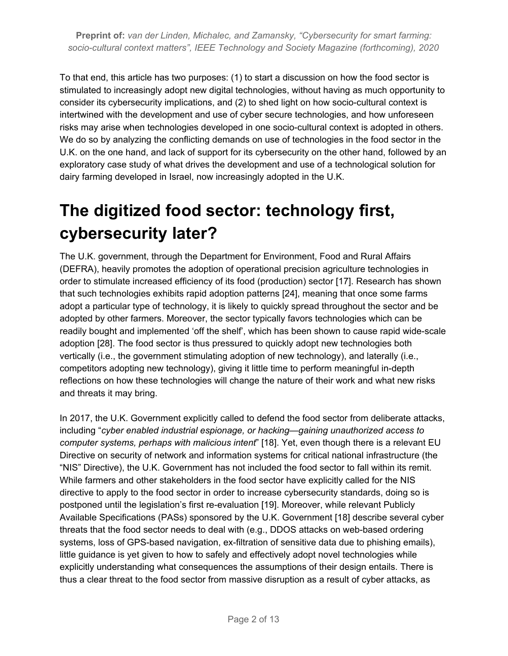To that end, this article has two purposes: (1) to start a discussion on how the food sector is stimulated to increasingly adopt new digital technologies, without having as much opportunity to consider its cybersecurity implications, and (2) to shed light on how socio-cultural context is intertwined with the development and use of cyber secure technologies, and how unforeseen risks may arise when technologies developed in one socio-cultural context is adopted in others. We do so by analyzing the conflicting demands on use of technologies in the food sector in the U.K. on the one hand, and lack of support for its cybersecurity on the other hand, followed by an exploratory case study of what drives the development and use of a technological solution for dairy farming developed in Israel, now increasingly adopted in the U.K.

# **The digitized food sector: technology first, cybersecurity later?**

The U.K. government, through the Department for Environment, Food and Rural Affairs (DEFRA), heavily promotes the adoption of operational precision agriculture technologies in order to stimulate increased efficiency of its food (production) sector [17]. Research has shown that such technologies exhibits rapid adoption patterns [24], meaning that once some farms adopt a particular type of technology, it is likely to quickly spread throughout the sector and be adopted by other farmers. Moreover, the sector typically favors technologies which can be readily bought and implemented 'off the shelf', which has been shown to cause rapid wide-scale adoption [28]. The food sector is thus pressured to quickly adopt new technologies both vertically (i.e., the government stimulating adoption of new technology), and laterally (i.e., competitors adopting new technology), giving it little time to perform meaningful in-depth reflections on how these technologies will change the nature of their work and what new risks and threats it may bring.

In 2017, the U.K. Government explicitly called to defend the food sector from deliberate attacks, including "*cyber enabled industrial espionage, or hacking—gaining unauthorized access to computer systems, perhaps with malicious intent*" [18]. Yet, even though there is a relevant EU Directive on security of network and information systems for critical national infrastructure (the "NIS" Directive), the U.K. Government has not included the food sector to fall within its remit. While farmers and other stakeholders in the food sector have explicitly called for the NIS directive to apply to the food sector in order to increase cybersecurity standards, doing so is postponed until the legislation's first re-evaluation [19]. Moreover, while relevant Publicly Available Specifications (PASs) sponsored by the U.K. Government [18] describe several cyber threats that the food sector needs to deal with (e.g., DDOS attacks on web-based ordering systems, loss of GPS-based navigation, ex-filtration of sensitive data due to phishing emails), little guidance is yet given to how to safely and effectively adopt novel technologies while explicitly understanding what consequences the assumptions of their design entails. There is thus a clear threat to the food sector from massive disruption as a result of cyber attacks, as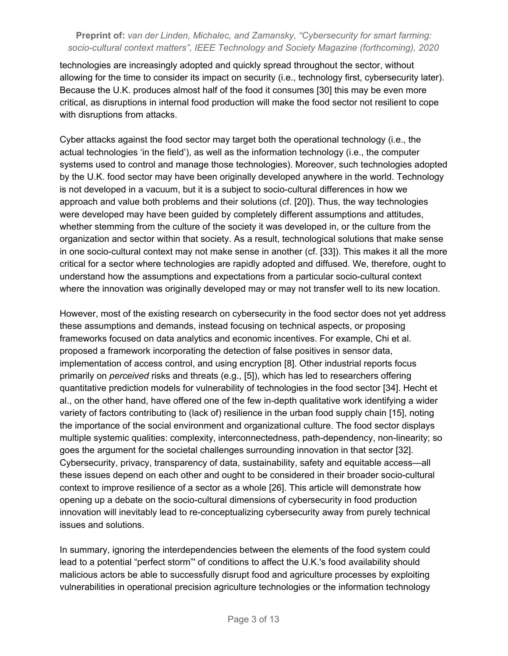technologies are increasingly adopted and quickly spread throughout the sector, without allowing for the time to consider its impact on security (i.e., technology first, cybersecurity later). Because the U.K. produces almost half of the food it consumes [30] this may be even more critical, as disruptions in internal food production will make the food sector not resilient to cope with disruptions from attacks.

Cyber attacks against the food sector may target both the operational technology (i.e., the actual technologies 'in the field'), as well as the information technology (i.e., the computer systems used to control and manage those technologies). Moreover, such technologies adopted by the U.K. food sector may have been originally developed anywhere in the world. Technology is not developed in a vacuum, but it is a subject to socio-cultural differences in how we approach and value both problems and their solutions (cf. [20]). Thus, the way technologies were developed may have been guided by completely different assumptions and attitudes, whether stemming from the culture of the society it was developed in, or the culture from the organization and sector within that society. As a result, technological solutions that make sense in one socio-cultural context may not make sense in another (cf. [33]). This makes it all the more critical for a sector where technologies are rapidly adopted and diffused. We, therefore, ought to understand how the assumptions and expectations from a particular socio-cultural context where the innovation was originally developed may or may not transfer well to its new location.

However, most of the existing research on cybersecurity in the food sector does not yet address these assumptions and demands, instead focusing on technical aspects, or proposing frameworks focused on data analytics and economic incentives. For example, Chi et al. proposed a framework incorporating the detection of false positives in sensor data, implementation of access control, and using encryption [8]. Other industrial reports focus primarily on *perceived* risks and threats (e.g., [5]), which has led to researchers offering quantitative prediction models for vulnerability of technologies in the food sector [34]. Hecht et al., on the other hand, have offered one of the few in-depth qualitative work identifying a wider variety of factors contributing to (lack of) resilience in the urban food supply chain [15], noting the importance of the social environment and organizational culture. The food sector displays multiple systemic qualities: complexity, interconnectedness, path-dependency, non-linearity; so goes the argument for the societal challenges surrounding innovation in that sector [32]. Cybersecurity, privacy, transparency of data, sustainability, safety and equitable access—all these issues depend on each other and ought to be considered in their broader socio-cultural context to improve resilience of a sector as a whole [26]. This article will demonstrate how opening up a debate on the socio-cultural dimensions of cybersecurity in food production innovation will inevitably lead to re-conceptualizing cybersecurity away from purely technical issues and solutions.

In summary, ignoring the interdependencies between the elements of the food system could lead to a potential "perfect storm"' of conditions to affect the U.K.'s food availability should malicious actors be able to successfully disrupt food and agriculture processes by exploiting vulnerabilities in operational precision agriculture technologies or the information technology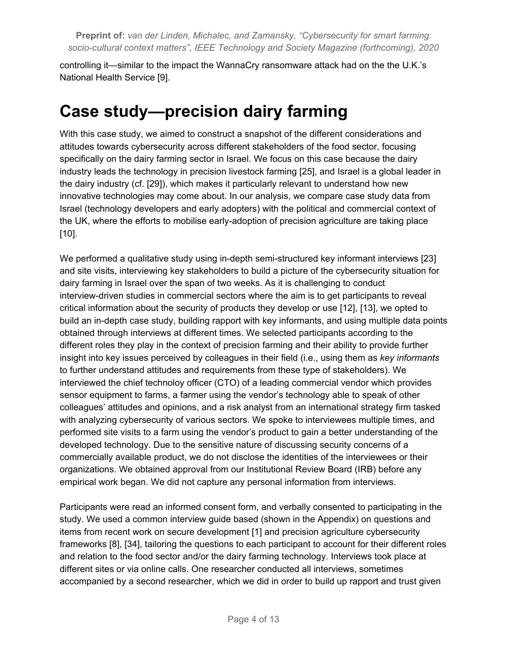controlling it—similar to the impact the WannaCry ransomware attack had on the the U.K.'s National Health Service [9].

### **Case study—precision dairy farming**

With this case study, we aimed to construct a snapshot of the different considerations and attitudes towards cybersecurity across different stakeholders of the food sector, focusing specifically on the dairy farming sector in Israel. We focus on this case because the dairy industry leads the technology in precision livestock farming [25], and Israel is a global leader in the dairy industry (cf. [29]), which makes it particularly relevant to understand how new innovative technologies may come about. In our analysis, we compare case study data from Israel (technology developers and early adopters) with the political and commercial context of the UK, where the efforts to mobilise early-adoption of precision agriculture are taking place [10].

We performed a qualitative study using in-depth semi-structured key informant interviews [23] and site visits, interviewing key stakeholders to build a picture of the cybersecurity situation for dairy farming in Israel over the span of two weeks. As it is challenging to conduct interview-driven studies in commercial sectors where the aim is to get participants to reveal critical information about the security of products they develop or use [12], [13], we opted to build an in-depth case study, building rapport with key informants, and using multiple data points obtained through interviews at different times. We selected participants according to the different roles they play in the context of precision farming and their ability to provide further insight into key issues perceived by colleagues in their field (i.e., using them as *key informants* to further understand attitudes and requirements from these type of stakeholders). We interviewed the chief technoloy officer (CTO) of a leading commercial vendor which provides sensor equipment to farms, a farmer using the vendor's technology able to speak of other colleagues' attitudes and opinions, and a risk analyst from an international strategy firm tasked with analyzing cybersecurity of various sectors. We spoke to interviewees multiple times, and performed site visits to a farm using the vendor's product to gain a better understanding of the developed technology. Due to the sensitive nature of discussing security concerns of a commercially available product, we do not disclose the identities of the interviewees or their organizations. We obtained approval from our Institutional Review Board (IRB) before any empirical work began. We did not capture any personal information from interviews.

Participants were read an informed consent form, and verbally consented to participating in the study. We used a common interview guide based (shown in the Appendix) on questions and items from recent work on secure development [1] and precision agriculture cybersecurity frameworks [8], [34], tailoring the questions to each participant to account for their different roles and relation to the food sector and/or the dairy farming technology. Interviews took place at different sites or via online calls. One researcher conducted all interviews, sometimes accompanied by a second researcher, which we did in order to build up rapport and trust given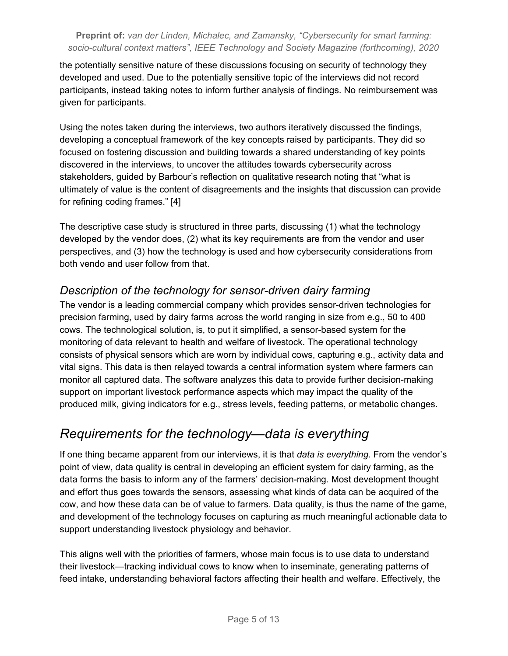the potentially sensitive nature of these discussions focusing on security of technology they developed and used. Due to the potentially sensitive topic of the interviews did not record participants, instead taking notes to inform further analysis of findings. No reimbursement was given for participants.

Using the notes taken during the interviews, two authors iteratively discussed the findings, developing a conceptual framework of the key concepts raised by participants. They did so focused on fostering discussion and building towards a shared understanding of key points discovered in the interviews, to uncover the attitudes towards cybersecurity across stakeholders, guided by Barbour's reflection on qualitative research noting that "what is ultimately of value is the content of disagreements and the insights that discussion can provide for refining coding frames." [4]

The descriptive case study is structured in three parts, discussing (1) what the technology developed by the vendor does, (2) what its key requirements are from the vendor and user perspectives, and (3) how the technology is used and how cybersecurity considerations from both vendo and user follow from that.

### *Description of the technology for sensor-driven dairy farming*

The vendor is a leading commercial company which provides sensor-driven technologies for precision farming, used by dairy farms across the world ranging in size from e.g., 50 to 400 cows. The technological solution, is, to put it simplified, a sensor-based system for the monitoring of data relevant to health and welfare of livestock. The operational technology consists of physical sensors which are worn by individual cows, capturing e.g., activity data and vital signs. This data is then relayed towards a central information system where farmers can monitor all captured data. The software analyzes this data to provide further decision-making support on important livestock performance aspects which may impact the quality of the produced milk, giving indicators for e.g., stress levels, feeding patterns, or metabolic changes.

### *Requirements for the technology—data is everything*

If one thing became apparent from our interviews, it is that *data is everything*. From the vendor's point of view, data quality is central in developing an efficient system for dairy farming, as the data forms the basis to inform any of the farmers' decision-making. Most development thought and effort thus goes towards the sensors, assessing what kinds of data can be acquired of the cow, and how these data can be of value to farmers. Data quality, is thus the name of the game, and development of the technology focuses on capturing as much meaningful actionable data to support understanding livestock physiology and behavior.

This aligns well with the priorities of farmers, whose main focus is to use data to understand their livestock—tracking individual cows to know when to inseminate, generating patterns of feed intake, understanding behavioral factors affecting their health and welfare. Effectively, the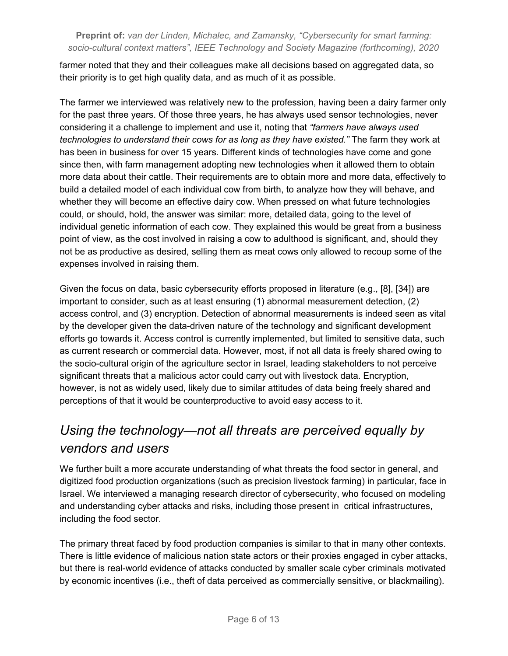farmer noted that they and their colleagues make all decisions based on aggregated data, so their priority is to get high quality data, and as much of it as possible.

The farmer we interviewed was relatively new to the profession, having been a dairy farmer only for the past three years. Of those three years, he has always used sensor technologies, never considering it a challenge to implement and use it, noting that *"farmers have always used technologies to understand their cows for as long as they have existed."* The farm they work at has been in business for over 15 years. Different kinds of technologies have come and gone since then, with farm management adopting new technologies when it allowed them to obtain more data about their cattle. Their requirements are to obtain more and more data, effectively to build a detailed model of each individual cow from birth, to analyze how they will behave, and whether they will become an effective dairy cow. When pressed on what future technologies could, or should, hold, the answer was similar: more, detailed data, going to the level of individual genetic information of each cow. They explained this would be great from a business point of view, as the cost involved in raising a cow to adulthood is significant, and, should they not be as productive as desired, selling them as meat cows only allowed to recoup some of the expenses involved in raising them.

Given the focus on data, basic cybersecurity efforts proposed in literature (e.g., [8], [34]) are important to consider, such as at least ensuring (1) abnormal measurement detection, (2) access control, and (3) encryption. Detection of abnormal measurements is indeed seen as vital by the developer given the data-driven nature of the technology and significant development efforts go towards it. Access control is currently implemented, but limited to sensitive data, such as current research or commercial data. However, most, if not all data is freely shared owing to the socio-cultural origin of the agriculture sector in Israel, leading stakeholders to not perceive significant threats that a malicious actor could carry out with livestock data. Encryption, however, is not as widely used, likely due to similar attitudes of data being freely shared and perceptions of that it would be counterproductive to avoid easy access to it.

### *Using the technology—not all threats are perceived equally by vendors and users*

We further built a more accurate understanding of what threats the food sector in general, and digitized food production organizations (such as precision livestock farming) in particular, face in Israel. We interviewed a managing research director of cybersecurity, who focused on modeling and understanding cyber attacks and risks, including those present in critical infrastructures, including the food sector.

The primary threat faced by food production companies is similar to that in many other contexts. There is little evidence of malicious nation state actors or their proxies engaged in cyber attacks, but there is real-world evidence of attacks conducted by smaller scale cyber criminals motivated by economic incentives (i.e., theft of data perceived as commercially sensitive, or blackmailing).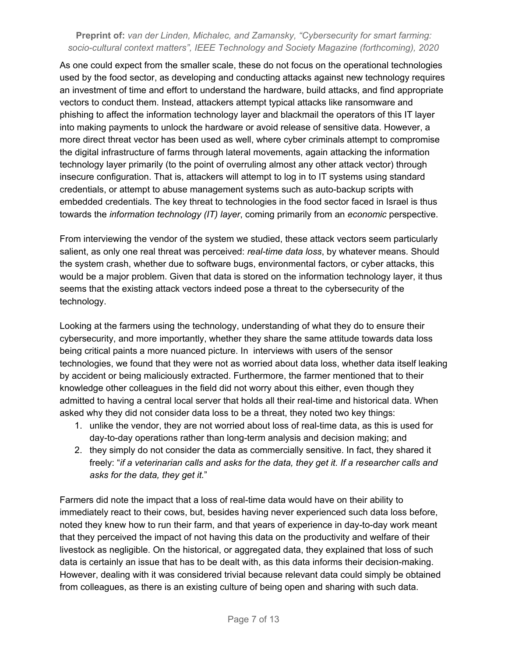As one could expect from the smaller scale, these do not focus on the operational technologies used by the food sector, as developing and conducting attacks against new technology requires an investment of time and effort to understand the hardware, build attacks, and find appropriate vectors to conduct them. Instead, attackers attempt typical attacks like ransomware and phishing to affect the information technology layer and blackmail the operators of this IT layer into making payments to unlock the hardware or avoid release of sensitive data. However, a more direct threat vector has been used as well, where cyber criminals attempt to compromise the digital infrastructure of farms through lateral movements, again attacking the information technology layer primarily (to the point of overruling almost any other attack vector) through insecure configuration. That is, attackers will attempt to log in to IT systems using standard credentials, or attempt to abuse management systems such as auto-backup scripts with embedded credentials. The key threat to technologies in the food sector faced in Israel is thus towards the *information technology (IT) layer*, coming primarily from an *economic* perspective.

From interviewing the vendor of the system we studied, these attack vectors seem particularly salient, as only one real threat was perceived: *real-time data loss*, by whatever means. Should the system crash, whether due to software bugs, environmental factors, or cyber attacks, this would be a major problem. Given that data is stored on the information technology layer, it thus seems that the existing attack vectors indeed pose a threat to the cybersecurity of the technology.

Looking at the farmers using the technology, understanding of what they do to ensure their cybersecurity, and more importantly, whether they share the same attitude towards data loss being critical paints a more nuanced picture. In interviews with users of the sensor technologies, we found that they were not as worried about data loss, whether data itself leaking by accident or being maliciously extracted. Furthermore, the farmer mentioned that to their knowledge other colleagues in the field did not worry about this either, even though they admitted to having a central local server that holds all their real-time and historical data. When asked why they did not consider data loss to be a threat, they noted two key things:

- 1. unlike the vendor, they are not worried about loss of real-time data, as this is used for day-to-day operations rather than long-term analysis and decision making; and
- 2. they simply do not consider the data as commercially sensitive. In fact, they shared it freely: "*if a veterinarian calls and asks for the data, they get it. If a researcher calls and asks for the data, they get it.*"

Farmers did note the impact that a loss of real-time data would have on their ability to immediately react to their cows, but, besides having never experienced such data loss before, noted they knew how to run their farm, and that years of experience in day-to-day work meant that they perceived the impact of not having this data on the productivity and welfare of their livestock as negligible. On the historical, or aggregated data, they explained that loss of such data is certainly an issue that has to be dealt with, as this data informs their decision-making. However, dealing with it was considered trivial because relevant data could simply be obtained from colleagues, as there is an existing culture of being open and sharing with such data.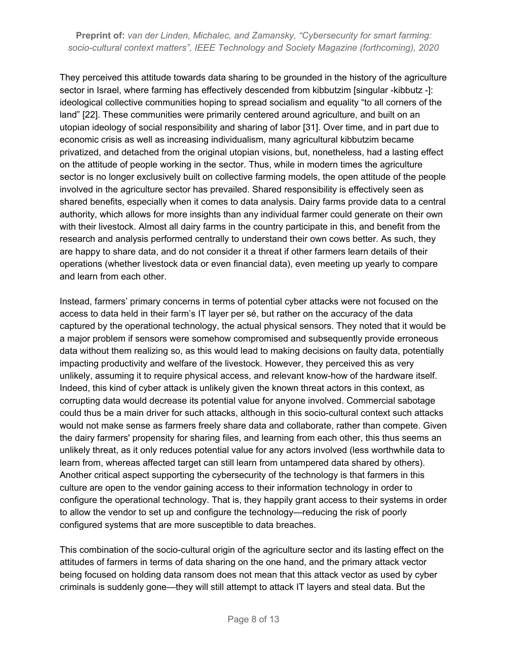They perceived this attitude towards data sharing to be grounded in the history of the agriculture sector in Israel, where farming has effectively descended from kibbutzim [singular -kibbutz -]: ideological collective communities hoping to spread socialism and equality "to all corners of the land" [22]. These communities were primarily centered around agriculture, and built on an utopian ideology of social responsibility and sharing of labor [31]. Over time, and in part due to economic crisis as well as increasing individualism, many agricultural kibbutzim became privatized, and detached from the original utopian visions, but, nonetheless, had a lasting effect on the attitude of people working in the sector. Thus, while in modern times the agriculture sector is no longer exclusively built on collective farming models, the open attitude of the people involved in the agriculture sector has prevailed. Shared responsibility is effectively seen as shared benefits, especially when it comes to data analysis. Dairy farms provide data to a central authority, which allows for more insights than any individual farmer could generate on their own with their livestock. Almost all dairy farms in the country participate in this, and benefit from the research and analysis performed centrally to understand their own cows better. As such, they are happy to share data, and do not consider it a threat if other farmers learn details of their operations (whether livestock data or even financial data), even meeting up yearly to compare and learn from each other.

Instead, farmers' primary concerns in terms of potential cyber attacks were not focused on the access to data held in their farm's IT layer per sé, but rather on the accuracy of the data captured by the operational technology, the actual physical sensors. They noted that it would be a major problem if sensors were somehow compromised and subsequently provide erroneous data without them realizing so, as this would lead to making decisions on faulty data, potentially impacting productivity and welfare of the livestock. However, they perceived this as very unlikely, assuming it to require physical access, and relevant know-how of the hardware itself. Indeed, this kind of cyber attack is unlikely given the known threat actors in this context, as corrupting data would decrease its potential value for anyone involved. Commercial sabotage could thus be a main driver for such attacks, although in this socio-cultural context such attacks would not make sense as farmers freely share data and collaborate, rather than compete. Given the dairy farmers' propensity for sharing files, and learning from each other, this thus seems an unlikely threat, as it only reduces potential value for any actors involved (less worthwhile data to learn from, whereas affected target can still learn from untampered data shared by others). Another critical aspect supporting the cybersecurity of the technology is that farmers in this culture are open to the vendor gaining access to their information technology in order to configure the operational technology. That is, they happily grant access to their systems in order to allow the vendor to set up and configure the technology—reducing the risk of poorly configured systems that are more susceptible to data breaches.

This combination of the socio-cultural origin of the agriculture sector and its lasting effect on the attitudes of farmers in terms of data sharing on the one hand, and the primary attack vector being focused on holding data ransom does not mean that this attack vector as used by cyber criminals is suddenly gone—they will still attempt to attack IT layers and steal data. But the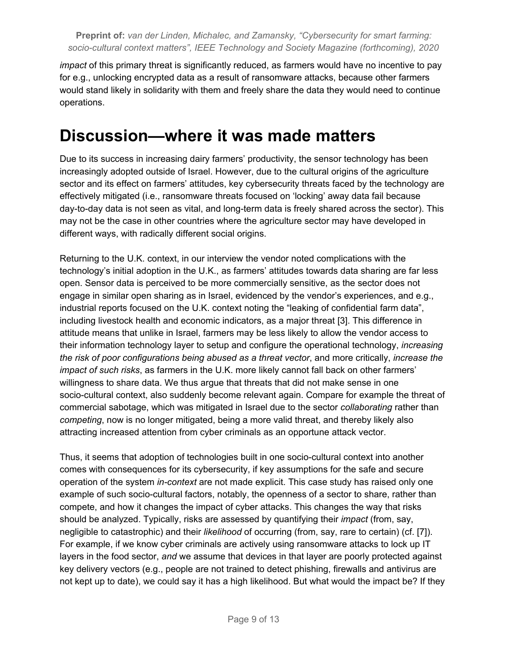*impact* of this primary threat is significantly reduced, as farmers would have no incentive to pay for e.g., unlocking encrypted data as a result of ransomware attacks, because other farmers would stand likely in solidarity with them and freely share the data they would need to continue operations.

### **Discussion—where it was made matters**

Due to its success in increasing dairy farmers' productivity, the sensor technology has been increasingly adopted outside of Israel. However, due to the cultural origins of the agriculture sector and its effect on farmers' attitudes, key cybersecurity threats faced by the technology are effectively mitigated (i.e., ransomware threats focused on 'locking' away data fail because day-to-day data is not seen as vital, and long-term data is freely shared across the sector). This may not be the case in other countries where the agriculture sector may have developed in different ways, with radically different social origins.

Returning to the U.K. context, in our interview the vendor noted complications with the technology's initial adoption in the U.K., as farmers' attitudes towards data sharing are far less open. Sensor data is perceived to be more commercially sensitive, as the sector does not engage in similar open sharing as in Israel, evidenced by the vendor's experiences, and e.g., industrial reports focused on the U.K. context noting the "leaking of confidential farm data", including livestock health and economic indicators, as a major threat [3]. This difference in attitude means that unlike in Israel, farmers may be less likely to allow the vendor access to their information technology layer to setup and configure the operational technology, *increasing the risk of poor configurations being abused as a threat vector*, and more critically, *increase the impact of such risks*, as farmers in the U.K. more likely cannot fall back on other farmers' willingness to share data. We thus argue that threats that did not make sense in one socio-cultural context, also suddenly become relevant again. Compare for example the threat of commercial sabotage, which was mitigated in Israel due to the sector *collaborating* rather than *competing*, now is no longer mitigated, being a more valid threat, and thereby likely also attracting increased attention from cyber criminals as an opportune attack vector.

Thus, it seems that adoption of technologies built in one socio-cultural context into another comes with consequences for its cybersecurity, if key assumptions for the safe and secure operation of the system *in-context* are not made explicit. This case study has raised only one example of such socio-cultural factors, notably, the openness of a sector to share, rather than compete, and how it changes the impact of cyber attacks. This changes the way that risks should be analyzed. Typically, risks are assessed by quantifying their *impact* (from, say, negligible to catastrophic) and their *likelihood* of occurring (from, say, rare to certain) (cf. [7]). For example, if we know cyber criminals are actively using ransomware attacks to lock up IT layers in the food sector, *and* we assume that devices in that layer are poorly protected against key delivery vectors (e.g., people are not trained to detect phishing, firewalls and antivirus are not kept up to date), we could say it has a high likelihood. But what would the impact be? If they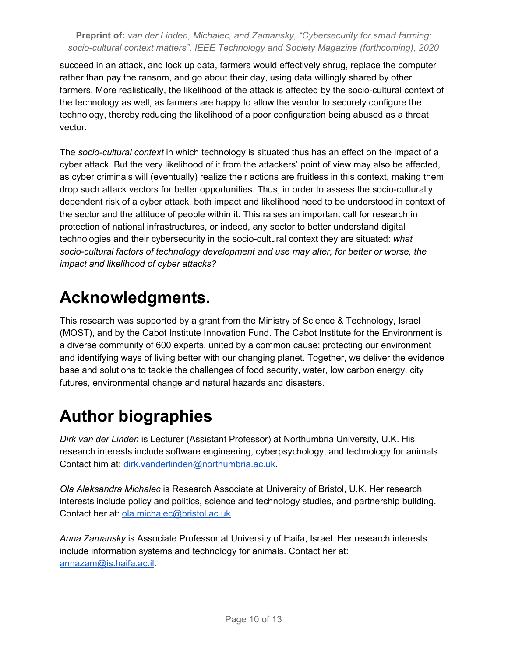succeed in an attack, and lock up data, farmers would effectively shrug, replace the computer rather than pay the ransom, and go about their day, using data willingly shared by other farmers. More realistically, the likelihood of the attack is affected by the socio-cultural context of the technology as well, as farmers are happy to allow the vendor to securely configure the technology, thereby reducing the likelihood of a poor configuration being abused as a threat vector.

The *socio-cultural context* in which technology is situated thus has an effect on the impact of a cyber attack. But the very likelihood of it from the attackers' point of view may also be affected, as cyber criminals will (eventually) realize their actions are fruitless in this context, making them drop such attack vectors for better opportunities. Thus, in order to assess the socio-culturally dependent risk of a cyber attack, both impact and likelihood need to be understood in context of the sector and the attitude of people within it. This raises an important call for research in protection of national infrastructures, or indeed, any sector to better understand digital technologies and their cybersecurity in the socio-cultural context they are situated: *what socio-cultural factors of technology development and use may alter, for better or worse, the impact and likelihood of cyber attacks?*

# **Acknowledgments.**

This research was supported by a grant from the Ministry of Science & Technology, Israel (MOST), and by the Cabot Institute Innovation Fund. The Cabot Institute for the Environment is a diverse community of 600 experts, united by a common cause: protecting our environment and identifying ways of living better with our changing planet. Together, we deliver the evidence base and solutions to tackle the challenges of food security, water, low carbon energy, city futures, environmental change and natural hazards and disasters.

## **Author biographies**

*Dirk van der Linden* is Lecturer (Assistant Professor) at Northumbria University, U.K. His research interests include software engineering, cyberpsychology, and technology for animals. Contact him at: [dirk.vanderlinden@northumbria.ac.uk.](mailto:dirk.vanderlinden@northumbria.ac.uk)

*Ola Aleksandra Michalec* is Research Associate at University of Bristol, U.K. Her research interests include policy and politics, science and technology studies, and partnership building. Contact her at: [ola.michalec@bristol.ac.uk](mailto:ola.michalec@bristol.ac.uk).

*Anna Zamansky* is Associate Professor at University of Haifa, Israel. Her research interests include information systems and technology for animals. Contact her at: [annazam@is.haifa.ac.il.](mailto:annazam@is.haifa.ac.il)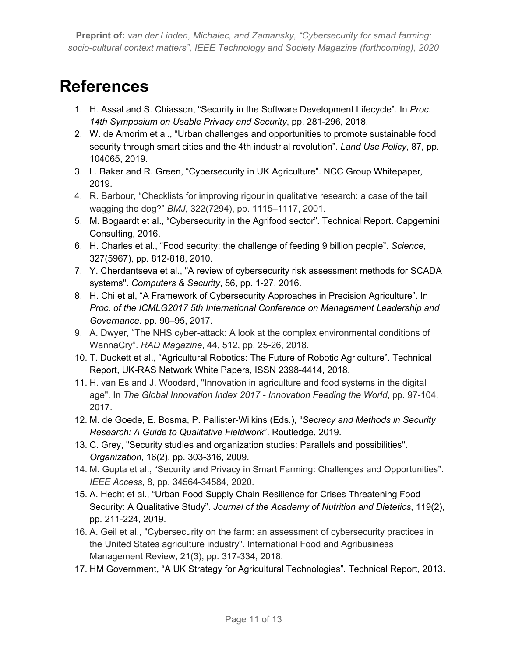### **References**

- 1. H. Assal and S. Chiasson, "Security in the Software Development Lifecycle". In *Proc. 14th Symposium on Usable Privacy and Security*, pp. 281-296, 2018.
- 2. W. de Amorim et al., "Urban challenges and opportunities to promote sustainable food security through smart cities and the 4th industrial revolution". *Land Use Policy*, 87, pp. 104065, 2019.
- 3. L. Baker and R. Green, "Cybersecurity in UK Agriculture". NCC Group Whitepaper*,* 2019.
- 4. R. Barbour, "Checklists for improving rigour in qualitative research: a case of the tail wagging the dog?" *BMJ*, 322(7294), pp. 1115–1117, 2001.
- 5. M. Bogaardt et al., "Cybersecurity in the Agrifood sector". Technical Report. Capgemini Consulting, 2016.
- 6. H. Charles et al., "Food security: the challenge of feeding 9 billion people". *Science*, 327(5967), pp. 812-818, 2010.
- 7. Y. Cherdantseva et al., "A review of cybersecurity risk assessment methods for SCADA systems". *Computers & Security*, 56, pp. 1-27, 2016.
- 8. H. Chi et al, "A Framework of Cybersecurity Approaches in Precision Agriculture". In *Proc. of the ICMLG2017 5th International Conference on Management Leadership and Governance*. pp. 90–95, 2017.
- 9. A. Dwyer, "The NHS cyber-attack: A look at the complex environmental conditions of WannaCry". *RAD Magazine*, 44, 512, pp. 25-26, 2018.
- 10. T. Duckett et al., "Agricultural Robotics: The Future of Robotic Agriculture". Technical Report, UK-RAS Network White Papers, ISSN 2398-4414, 2018.
- 11. H. van Es and J. Woodard, "Innovation in agriculture and food systems in the digital age". In *The Global Innovation Index 2017 - Innovation Feeding the World*, pp. 97-104, 2017.
- 12. M. de Goede, E. Bosma, P. Pallister-Wilkins (Eds.), "*Secrecy and Methods in Security Research: A Guide to Qualitative Fieldwork*". Routledge, 2019.
- 13. C. Grey, "Security studies and organization studies: Parallels and possibilities". *Organization*, 16(2), pp. 303-316, 2009.
- 14. M. Gupta et al., "Security and Privacy in Smart Farming: Challenges and Opportunities". *IEEE Access*, 8, pp. 34564-34584, 2020.
- 15. A. Hecht et al., "Urban Food Supply Chain Resilience for Crises Threatening Food Security: A Qualitative Study". *Journal of the Academy of Nutrition and Dietetics*, 119(2), pp. 211-224, 2019.
- 16. A. Geil et al., "Cybersecurity on the farm: an assessment of cybersecurity practices in the United States agriculture industry". International Food and Agribusiness Management Review, 21(3), pp. 317-334, 2018.
- 17. HM Government, "A UK Strategy for Agricultural Technologies". Technical Report, 2013.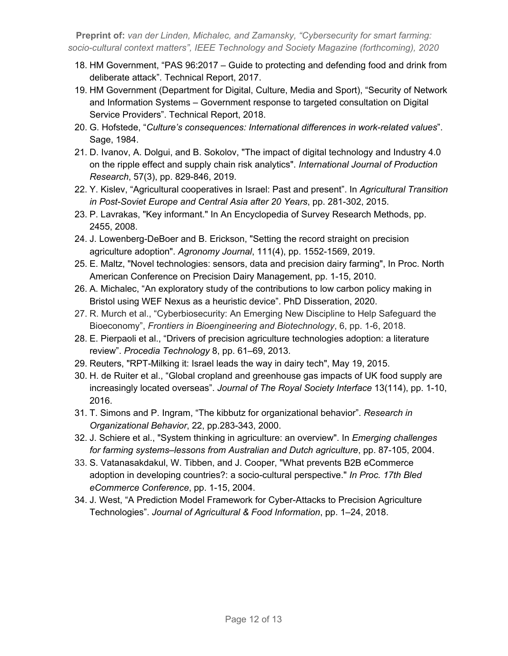- 18. HM Government, "PAS 96:2017 Guide to protecting and defending food and drink from deliberate attack". Technical Report, 2017.
- 19. HM Government (Department for Digital, Culture, Media and Sport), "Security of Network and Information Systems – Government response to targeted consultation on Digital Service Providers". Technical Report, 2018.
- 20. G. Hofstede, "*Culture's consequences: International differences in work-related values*". Sage, 1984.
- 21. D. Ivanov, A. Dolgui, and B. Sokolov, "The impact of digital technology and Industry 4.0 on the ripple effect and supply chain risk analytics". *International Journal of Production Research*, 57(3), pp. 829-846, 2019.
- 22. Y. Kislev, "Agricultural cooperatives in Israel: Past and present". In *Agricultural Transition in Post-Soviet Europe and Central Asia after 20 Years*, pp. 281-302, 2015.
- 23. P. Lavrakas, "Key informant." In An Encyclopedia of Survey Research Methods, pp. 2455, 2008.
- 24. J. Lowenberg-DeBoer and B. Erickson, "Setting the record straight on precision agriculture adoption". *Agronomy Journal*, 111(4), pp. 1552-1569, 2019.
- 25. E. Maltz, "Novel technologies: sensors, data and precision dairy farming", In Proc. North American Conference on Precision Dairy Management, pp. 1-15, 2010.
- 26. A. Michalec, "An exploratory study of the contributions to low carbon policy making in Bristol using WEF Nexus as a heuristic device". PhD Disseration, 2020.
- 27. R. Murch et al., "Cyberbiosecurity: An Emerging New Discipline to Help Safeguard the Bioeconomy", *Frontiers in Bioengineering and Biotechnology*, 6, pp. 1-6, 2018.
- 28. E. Pierpaoli et al., "Drivers of precision agriculture technologies adoption: a literature review". *Procedia Technology* 8, pp. 61–69, 2013.
- 29. Reuters, "RPT-Milking it: Israel leads the way in dairy tech", May 19, 2015.
- 30. H. de Ruiter et al., "Global cropland and greenhouse gas impacts of UK food supply are increasingly located overseas". *Journal of The Royal Society Interface* 13(114), pp. 1-10, 2016.
- 31. T. Simons and P. Ingram, "The kibbutz for organizational behavior". *Research in Organizational Behavior*, 22, pp.283-343, 2000.
- 32. J. Schiere et al., "System thinking in agriculture: an overview". In *Emerging challenges for farming systems–lessons from Australian and Dutch agriculture*, pp. 87-105, 2004.
- 33. S. Vatanasakdakul, W. Tibben, and J. Cooper, "What prevents B2B eCommerce adoption in developing countries?: a socio-cultural perspective." *In Proc. 17th Bled eCommerce Conference*, pp. 1-15, 2004.
- 34. J. West, "A Prediction Model Framework for Cyber-Attacks to Precision Agriculture Technologies". *Journal of Agricultural & Food Information*, pp. 1–24, 2018.